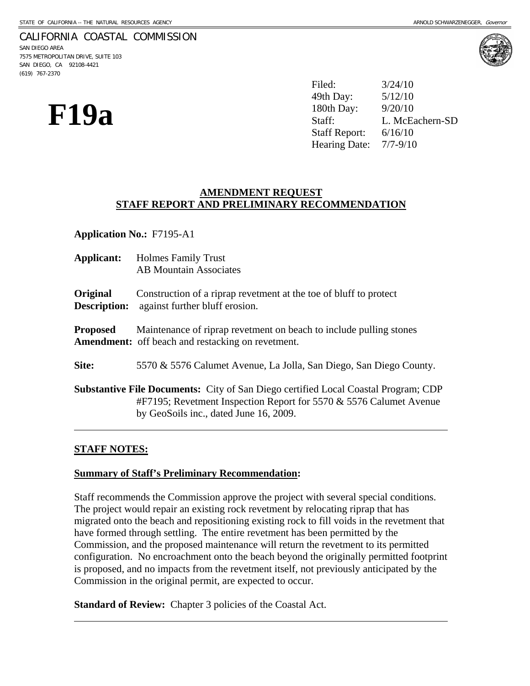#### CALIFORNIA COASTAL COMMISSION

SAN DIEGO AREA 7575 METROPOLITAN DRIVE, SUITE 103 SAN DIEGO, CA 92108-4421 (619) 767-2370



**F19a** 180th Day: 9/20/10<br>Staff: L. McEachern-SD<br>Staff Report: 6/16/10 Filed: 3/24/10 49th Day: 5/12/10 180th Day: Staff Report: Hearing Date: 7/7-9/10

### **AMENDMENT REQUEST STAFF REPORT AND PRELIMINARY RECOMMENDATION**

**Application No.:** F7195-A1

**Applicant:** Holmes Family Trust AB Mountain Associates **Original** Construction of a riprap revetment at the toe of bluff to protect **Description:** against further bluff erosion. **Proposed** Maintenance of riprap revetment on beach to include pulling stones **Amendment:** off beach and restacking on revetment. **Site:** 5570 & 5576 Calumet Avenue, La Jolla, San Diego, San Diego County. **Substantive File Documents:** City of San Diego certified Local Coastal Program; CDP #F7195; Revetment Inspection Report for 5570 & 5576 Calumet Avenue

by GeoSoils inc., dated June 16, 2009.

### **STAFF NOTES:**

 $\overline{a}$ 

 $\overline{a}$ 

## **Summary of Staff's Preliminary Recommendation:**

Staff recommends the Commission approve the project with several special conditions. The project would repair an existing rock revetment by relocating riprap that has migrated onto the beach and repositioning existing rock to fill voids in the revetment that have formed through settling. The entire revetment has been permitted by the Commission, and the proposed maintenance will return the revetment to its permitted configuration. No encroachment onto the beach beyond the originally permitted footprint is proposed, and no impacts from the revetment itself, not previously anticipated by the Commission in the original permit, are expected to occur.

**Standard of Review:** Chapter 3 policies of the Coastal Act.

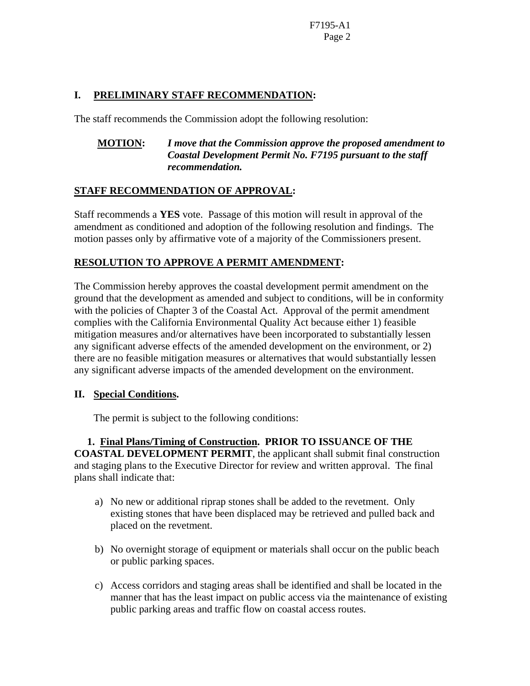## **I. PRELIMINARY STAFF RECOMMENDATION:**

The staff recommends the Commission adopt the following resolution:

## **MOTION:** *I move that the Commission approve the proposed amendment to Coastal Development Permit No. F7195 pursuant to the staff recommendation.*

# **STAFF RECOMMENDATION OF APPROVAL:**

Staff recommends a **YES** vote. Passage of this motion will result in approval of the amendment as conditioned and adoption of the following resolution and findings. The motion passes only by affirmative vote of a majority of the Commissioners present.

# **RESOLUTION TO APPROVE A PERMIT AMENDMENT:**

The Commission hereby approves the coastal development permit amendment on the ground that the development as amended and subject to conditions, will be in conformity with the policies of Chapter 3 of the Coastal Act. Approval of the permit amendment complies with the California Environmental Quality Act because either 1) feasible mitigation measures and/or alternatives have been incorporated to substantially lessen any significant adverse effects of the amended development on the environment, or 2) there are no feasible mitigation measures or alternatives that would substantially lessen any significant adverse impacts of the amended development on the environment.

## **II. Special Conditions.**

The permit is subject to the following conditions:

 **1. Final Plans/Timing of Construction. PRIOR TO ISSUANCE OF THE COASTAL DEVELOPMENT PERMIT**, the applicant shall submit final construction and staging plans to the Executive Director for review and written approval. The final plans shall indicate that:

- a) No new or additional riprap stones shall be added to the revetment. Only existing stones that have been displaced may be retrieved and pulled back and placed on the revetment.
- b) No overnight storage of equipment or materials shall occur on the public beach or public parking spaces.
- c) Access corridors and staging areas shall be identified and shall be located in the manner that has the least impact on public access via the maintenance of existing public parking areas and traffic flow on coastal access routes.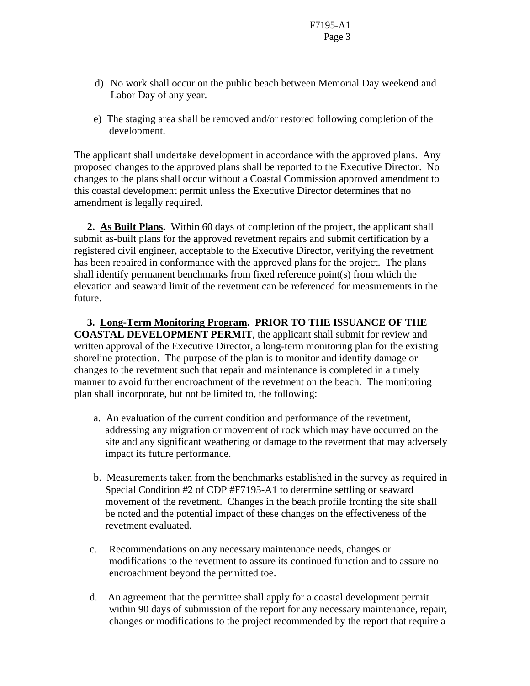- d) No work shall occur on the public beach between Memorial Day weekend and Labor Day of any year.
- e) The staging area shall be removed and/or restored following completion of the development.

The applicant shall undertake development in accordance with the approved plans. Any proposed changes to the approved plans shall be reported to the Executive Director. No changes to the plans shall occur without a Coastal Commission approved amendment to this coastal development permit unless the Executive Director determines that no amendment is legally required.

 **2. As Built Plans.** Within 60 days of completion of the project, the applicant shall submit as-built plans for the approved revetment repairs and submit certification by a registered civil engineer, acceptable to the Executive Director, verifying the revetment has been repaired in conformance with the approved plans for the project. The plans shall identify permanent benchmarks from fixed reference point(s) from which the elevation and seaward limit of the revetment can be referenced for measurements in the future.

 **3. Long-Term Monitoring Program. PRIOR TO THE ISSUANCE OF THE COASTAL DEVELOPMENT PERMIT**, the applicant shall submit for review and written approval of the Executive Director, a long-term monitoring plan for the existing shoreline protection. The purpose of the plan is to monitor and identify damage or changes to the revetment such that repair and maintenance is completed in a timely manner to avoid further encroachment of the revetment on the beach. The monitoring plan shall incorporate, but not be limited to, the following:

- a. An evaluation of the current condition and performance of the revetment, addressing any migration or movement of rock which may have occurred on the site and any significant weathering or damage to the revetment that may adversely impact its future performance.
- b. Measurements taken from the benchmarks established in the survey as required in Special Condition #2 of CDP #F7195-A1 to determine settling or seaward movement of the revetment. Changes in the beach profile fronting the site shall be noted and the potential impact of these changes on the effectiveness of the revetment evaluated.
- c. Recommendations on any necessary maintenance needs, changes or modifications to the revetment to assure its continued function and to assure no encroachment beyond the permitted toe.
- d. An agreement that the permittee shall apply for a coastal development permit within 90 days of submission of the report for any necessary maintenance, repair, changes or modifications to the project recommended by the report that require a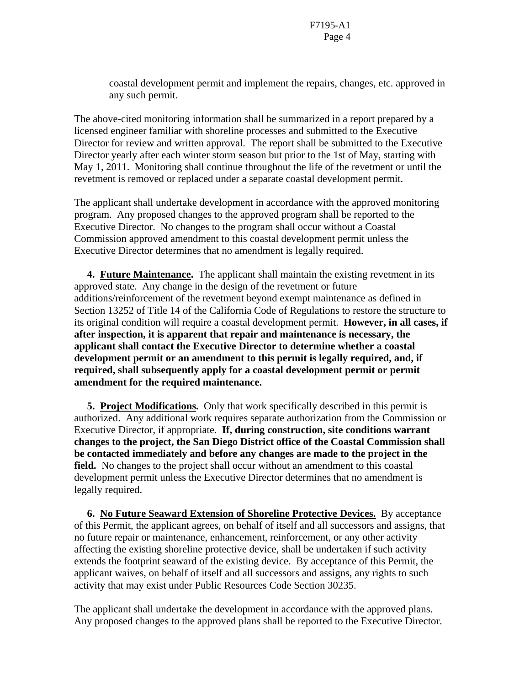coastal development permit and implement the repairs, changes, etc. approved in any such permit.

The above-cited monitoring information shall be summarized in a report prepared by a licensed engineer familiar with shoreline processes and submitted to the Executive Director for review and written approval. The report shall be submitted to the Executive Director yearly after each winter storm season but prior to the 1st of May, starting with May 1, 2011. Monitoring shall continue throughout the life of the revetment or until the revetment is removed or replaced under a separate coastal development permit.

The applicant shall undertake development in accordance with the approved monitoring program. Any proposed changes to the approved program shall be reported to the Executive Director. No changes to the program shall occur without a Coastal Commission approved amendment to this coastal development permit unless the Executive Director determines that no amendment is legally required.

 **4. Future Maintenance.** The applicant shall maintain the existing revetment in its approved state. Any change in the design of the revetment or future additions/reinforcement of the revetment beyond exempt maintenance as defined in Section 13252 of Title 14 of the California Code of Regulations to restore the structure to its original condition will require a coastal development permit. **However, in all cases, if after inspection, it is apparent that repair and maintenance is necessary, the applicant shall contact the Executive Director to determine whether a coastal development permit or an amendment to this permit is legally required, and, if required, shall subsequently apply for a coastal development permit or permit amendment for the required maintenance.**

 **5. Project Modifications.** Only that work specifically described in this permit is authorized. Any additional work requires separate authorization from the Commission or Executive Director, if appropriate. **If, during construction, site conditions warrant changes to the project, the San Diego District office of the Coastal Commission shall be contacted immediately and before any changes are made to the project in the field.** No changes to the project shall occur without an amendment to this coastal development permit unless the Executive Director determines that no amendment is legally required.

 **6. No Future Seaward Extension of Shoreline Protective Devices.** By acceptance of this Permit, the applicant agrees, on behalf of itself and all successors and assigns, that no future repair or maintenance, enhancement, reinforcement, or any other activity affecting the existing shoreline protective device, shall be undertaken if such activity extends the footprint seaward of the existing device. By acceptance of this Permit, the applicant waives, on behalf of itself and all successors and assigns, any rights to such activity that may exist under Public Resources Code Section 30235.

The applicant shall undertake the development in accordance with the approved plans. Any proposed changes to the approved plans shall be reported to the Executive Director.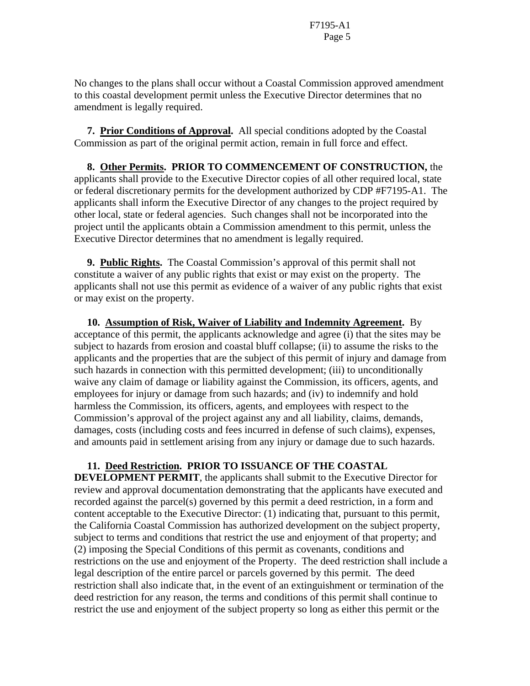No changes to the plans shall occur without a Coastal Commission approved amendment to this coastal development permit unless the Executive Director determines that no amendment is legally required.

 **7. Prior Conditions of Approval.** All special conditions adopted by the Coastal Commission as part of the original permit action, remain in full force and effect.

 **8. Other Permits. PRIOR TO COMMENCEMENT OF CONSTRUCTION,** the applicants shall provide to the Executive Director copies of all other required local, state or federal discretionary permits for the development authorized by CDP #F7195-A1. The applicants shall inform the Executive Director of any changes to the project required by other local, state or federal agencies. Such changes shall not be incorporated into the project until the applicants obtain a Commission amendment to this permit, unless the Executive Director determines that no amendment is legally required.

 **9. Public Rights.** The Coastal Commission's approval of this permit shall not constitute a waiver of any public rights that exist or may exist on the property. The applicants shall not use this permit as evidence of a waiver of any public rights that exist or may exist on the property.

 **10. Assumption of Risk, Waiver of Liability and Indemnity Agreement.** By acceptance of this permit, the applicants acknowledge and agree (i) that the sites may be subject to hazards from erosion and coastal bluff collapse; (ii) to assume the risks to the applicants and the properties that are the subject of this permit of injury and damage from such hazards in connection with this permitted development; (iii) to unconditionally waive any claim of damage or liability against the Commission, its officers, agents, and employees for injury or damage from such hazards; and (iv) to indemnify and hold harmless the Commission, its officers, agents, and employees with respect to the Commission's approval of the project against any and all liability, claims, demands, damages, costs (including costs and fees incurred in defense of such claims), expenses, and amounts paid in settlement arising from any injury or damage due to such hazards.

### **11. Deed Restriction. PRIOR TO ISSUANCE OF THE COASTAL**

**DEVELOPMENT PERMIT**, the applicants shall submit to the Executive Director for review and approval documentation demonstrating that the applicants have executed and recorded against the parcel(s) governed by this permit a deed restriction, in a form and content acceptable to the Executive Director: (1) indicating that, pursuant to this permit, the California Coastal Commission has authorized development on the subject property, subject to terms and conditions that restrict the use and enjoyment of that property; and (2) imposing the Special Conditions of this permit as covenants, conditions and restrictions on the use and enjoyment of the Property. The deed restriction shall include a legal description of the entire parcel or parcels governed by this permit. The deed restriction shall also indicate that, in the event of an extinguishment or termination of the deed restriction for any reason, the terms and conditions of this permit shall continue to restrict the use and enjoyment of the subject property so long as either this permit or the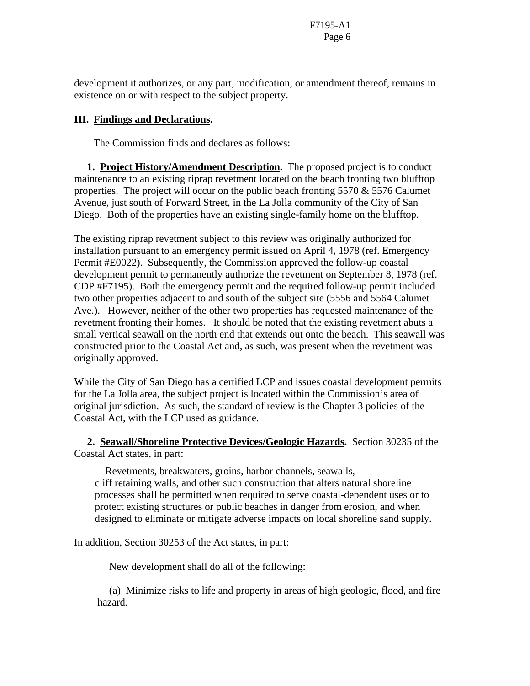development it authorizes, or any part, modification, or amendment thereof, remains in existence on or with respect to the subject property.

## **III. Findings and Declarations.**

The Commission finds and declares as follows:

 **1. Project History/Amendment Description.** The proposed project is to conduct maintenance to an existing riprap revetment located on the beach fronting two blufftop properties. The project will occur on the public beach fronting  $5570 \& 5576$  Calumet Avenue, just south of Forward Street, in the La Jolla community of the City of San Diego. Both of the properties have an existing single-family home on the blufftop.

The existing riprap revetment subject to this review was originally authorized for installation pursuant to an emergency permit issued on April 4, 1978 (ref. Emergency Permit #E0022). Subsequently, the Commission approved the follow-up coastal development permit to permanently authorize the revetment on September 8, 1978 (ref. CDP #F7195). Both the emergency permit and the required follow-up permit included two other properties adjacent to and south of the subject site (5556 and 5564 Calumet Ave.). However, neither of the other two properties has requested maintenance of the revetment fronting their homes. It should be noted that the existing revetment abuts a small vertical seawall on the north end that extends out onto the beach. This seawall was constructed prior to the Coastal Act and, as such, was present when the revetment was originally approved.

While the City of San Diego has a certified LCP and issues coastal development permits for the La Jolla area, the subject project is located within the Commission's area of original jurisdiction. As such, the standard of review is the Chapter 3 policies of the Coastal Act, with the LCP used as guidance.

 **2. Seawall/Shoreline Protective Devices/Geologic Hazards.** Section 30235 of the Coastal Act states, in part:

 Revetments, breakwaters, groins, harbor channels, seawalls, cliff retaining walls, and other such construction that alters natural shoreline processes shall be permitted when required to serve coastal-dependent uses or to protect existing structures or public beaches in danger from erosion, and when designed to eliminate or mitigate adverse impacts on local shoreline sand supply.

In addition, Section 30253 of the Act states, in part:

New development shall do all of the following:

 (a) Minimize risks to life and property in areas of high geologic, flood, and fire hazard.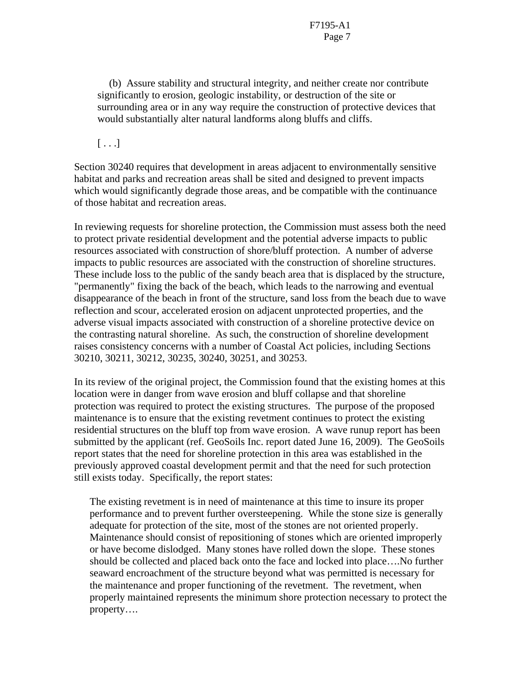(b) Assure stability and structural integrity, and neither create nor contribute significantly to erosion, geologic instability, or destruction of the site or surrounding area or in any way require the construction of protective devices that would substantially alter natural landforms along bluffs and cliffs.

 $[\ldots]$ 

Section 30240 requires that development in areas adjacent to environmentally sensitive habitat and parks and recreation areas shall be sited and designed to prevent impacts which would significantly degrade those areas, and be compatible with the continuance of those habitat and recreation areas.

In reviewing requests for shoreline protection, the Commission must assess both the need to protect private residential development and the potential adverse impacts to public resources associated with construction of shore/bluff protection. A number of adverse impacts to public resources are associated with the construction of shoreline structures. These include loss to the public of the sandy beach area that is displaced by the structure, "permanently" fixing the back of the beach, which leads to the narrowing and eventual disappearance of the beach in front of the structure, sand loss from the beach due to wave reflection and scour, accelerated erosion on adjacent unprotected properties, and the adverse visual impacts associated with construction of a shoreline protective device on the contrasting natural shoreline. As such, the construction of shoreline development raises consistency concerns with a number of Coastal Act policies, including Sections 30210, 30211, 30212, 30235, 30240, 30251, and 30253.

In its review of the original project, the Commission found that the existing homes at this location were in danger from wave erosion and bluff collapse and that shoreline protection was required to protect the existing structures. The purpose of the proposed maintenance is to ensure that the existing revetment continues to protect the existing residential structures on the bluff top from wave erosion. A wave runup report has been submitted by the applicant (ref. GeoSoils Inc. report dated June 16, 2009). The GeoSoils report states that the need for shoreline protection in this area was established in the previously approved coastal development permit and that the need for such protection still exists today. Specifically, the report states:

The existing revetment is in need of maintenance at this time to insure its proper performance and to prevent further oversteepening. While the stone size is generally adequate for protection of the site, most of the stones are not oriented properly. Maintenance should consist of repositioning of stones which are oriented improperly or have become dislodged. Many stones have rolled down the slope. These stones should be collected and placed back onto the face and locked into place….No further seaward encroachment of the structure beyond what was permitted is necessary for the maintenance and proper functioning of the revetment. The revetment, when properly maintained represents the minimum shore protection necessary to protect the property….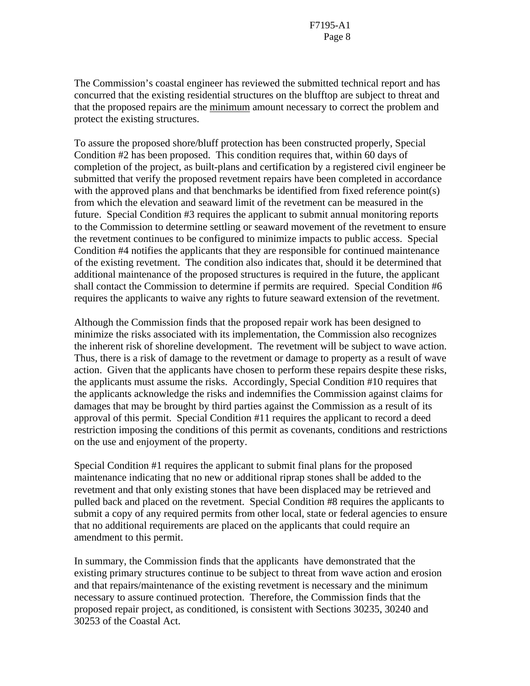The Commission's coastal engineer has reviewed the submitted technical report and has concurred that the existing residential structures on the blufftop are subject to threat and that the proposed repairs are the minimum amount necessary to correct the problem and protect the existing structures.

To assure the proposed shore/bluff protection has been constructed properly, Special Condition #2 has been proposed. This condition requires that, within 60 days of completion of the project, as built-plans and certification by a registered civil engineer be submitted that verify the proposed revetment repairs have been completed in accordance with the approved plans and that benchmarks be identified from fixed reference point(s) from which the elevation and seaward limit of the revetment can be measured in the future. Special Condition #3 requires the applicant to submit annual monitoring reports to the Commission to determine settling or seaward movement of the revetment to ensure the revetment continues to be configured to minimize impacts to public access. Special Condition #4 notifies the applicants that they are responsible for continued maintenance of the existing revetment. The condition also indicates that, should it be determined that additional maintenance of the proposed structures is required in the future, the applicant shall contact the Commission to determine if permits are required. Special Condition #6 requires the applicants to waive any rights to future seaward extension of the revetment.

Although the Commission finds that the proposed repair work has been designed to minimize the risks associated with its implementation, the Commission also recognizes the inherent risk of shoreline development. The revetment will be subject to wave action. Thus, there is a risk of damage to the revetment or damage to property as a result of wave action. Given that the applicants have chosen to perform these repairs despite these risks, the applicants must assume the risks. Accordingly, Special Condition #10 requires that the applicants acknowledge the risks and indemnifies the Commission against claims for damages that may be brought by third parties against the Commission as a result of its approval of this permit. Special Condition #11 requires the applicant to record a deed restriction imposing the conditions of this permit as covenants, conditions and restrictions on the use and enjoyment of the property.

Special Condition #1 requires the applicant to submit final plans for the proposed maintenance indicating that no new or additional riprap stones shall be added to the revetment and that only existing stones that have been displaced may be retrieved and pulled back and placed on the revetment. Special Condition #8 requires the applicants to submit a copy of any required permits from other local, state or federal agencies to ensure that no additional requirements are placed on the applicants that could require an amendment to this permit.

In summary, the Commission finds that the applicants have demonstrated that the existing primary structures continue to be subject to threat from wave action and erosion and that repairs/maintenance of the existing revetment is necessary and the minimum necessary to assure continued protection. Therefore, the Commission finds that the proposed repair project, as conditioned, is consistent with Sections 30235, 30240 and 30253 of the Coastal Act.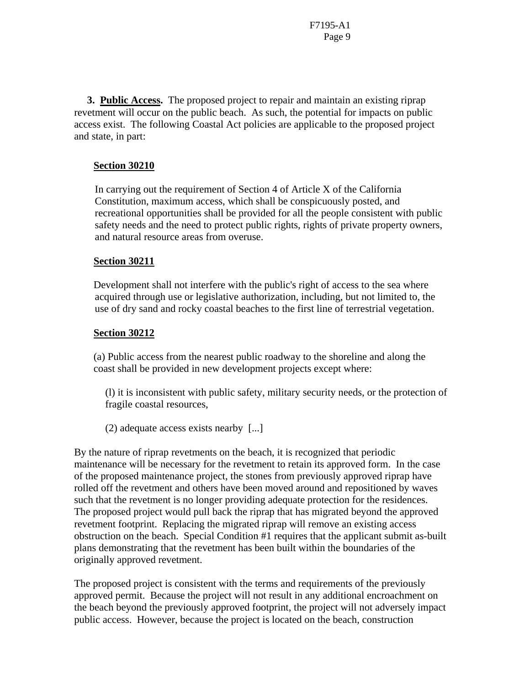**3. Public Access.** The proposed project to repair and maintain an existing riprap revetment will occur on the public beach. As such, the potential for impacts on public access exist. The following Coastal Act policies are applicable to the proposed project and state, in part:

#### **Section 30210**

 In carrying out the requirement of Section 4 of Article X of the California Constitution, maximum access, which shall be conspicuously posted, and recreational opportunities shall be provided for all the people consistent with public safety needs and the need to protect public rights, rights of private property owners, and natural resource areas from overuse.

#### **Section 30211**

Development shall not interfere with the public's right of access to the sea where acquired through use or legislative authorization, including, but not limited to, the use of dry sand and rocky coastal beaches to the first line of terrestrial vegetation.

#### **Section 30212**

(a) Public access from the nearest public roadway to the shoreline and along the coast shall be provided in new development projects except where:

(l) it is inconsistent with public safety, military security needs, or the protection of fragile coastal resources,

(2) adequate access exists nearby [...]

By the nature of riprap revetments on the beach, it is recognized that periodic maintenance will be necessary for the revetment to retain its approved form. In the case of the proposed maintenance project, the stones from previously approved riprap have rolled off the revetment and others have been moved around and repositioned by waves such that the revetment is no longer providing adequate protection for the residences. The proposed project would pull back the riprap that has migrated beyond the approved revetment footprint. Replacing the migrated riprap will remove an existing access obstruction on the beach. Special Condition #1 requires that the applicant submit as-built plans demonstrating that the revetment has been built within the boundaries of the originally approved revetment.

The proposed project is consistent with the terms and requirements of the previously approved permit. Because the project will not result in any additional encroachment on the beach beyond the previously approved footprint, the project will not adversely impact public access. However, because the project is located on the beach, construction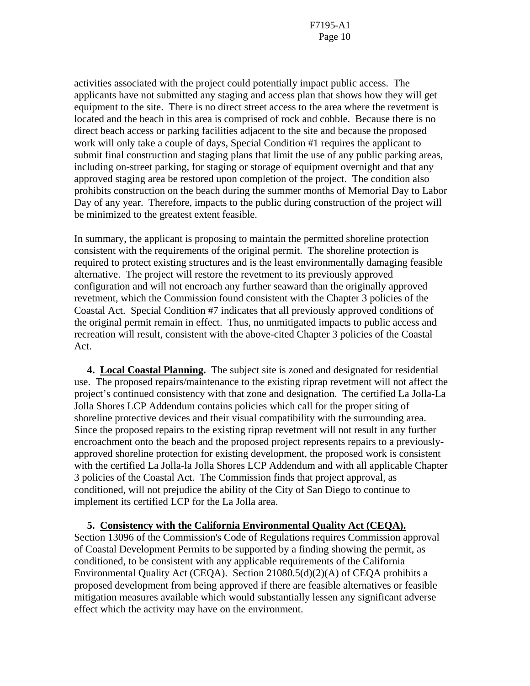activities associated with the project could potentially impact public access. The applicants have not submitted any staging and access plan that shows how they will get equipment to the site. There is no direct street access to the area where the revetment is located and the beach in this area is comprised of rock and cobble. Because there is no direct beach access or parking facilities adjacent to the site and because the proposed work will only take a couple of days, Special Condition #1 requires the applicant to submit final construction and staging plans that limit the use of any public parking areas, including on-street parking, for staging or storage of equipment overnight and that any approved staging area be restored upon completion of the project. The condition also prohibits construction on the beach during the summer months of Memorial Day to Labor Day of any year. Therefore, impacts to the public during construction of the project will be minimized to the greatest extent feasible.

In summary, the applicant is proposing to maintain the permitted shoreline protection consistent with the requirements of the original permit. The shoreline protection is required to protect existing structures and is the least environmentally damaging feasible alternative. The project will restore the revetment to its previously approved configuration and will not encroach any further seaward than the originally approved revetment, which the Commission found consistent with the Chapter 3 policies of the Coastal Act. Special Condition #7 indicates that all previously approved conditions of the original permit remain in effect. Thus, no unmitigated impacts to public access and recreation will result, consistent with the above-cited Chapter 3 policies of the Coastal Act.

 **4. Local Coastal Planning.** The subject site is zoned and designated for residential use. The proposed repairs/maintenance to the existing riprap revetment will not affect the project's continued consistency with that zone and designation. The certified La Jolla-La Jolla Shores LCP Addendum contains policies which call for the proper siting of shoreline protective devices and their visual compatibility with the surrounding area. Since the proposed repairs to the existing riprap revetment will not result in any further encroachment onto the beach and the proposed project represents repairs to a previouslyapproved shoreline protection for existing development, the proposed work is consistent with the certified La Jolla-la Jolla Shores LCP Addendum and with all applicable Chapter 3 policies of the Coastal Act. The Commission finds that project approval, as conditioned, will not prejudice the ability of the City of San Diego to continue to implement its certified LCP for the La Jolla area.

### **5. Consistency with the California Environmental Quality Act (CEQA).**

Section 13096 of the Commission's Code of Regulations requires Commission approval of Coastal Development Permits to be supported by a finding showing the permit, as conditioned, to be consistent with any applicable requirements of the California Environmental Quality Act (CEQA). Section 21080.5(d)(2)(A) of CEQA prohibits a proposed development from being approved if there are feasible alternatives or feasible mitigation measures available which would substantially lessen any significant adverse effect which the activity may have on the environment.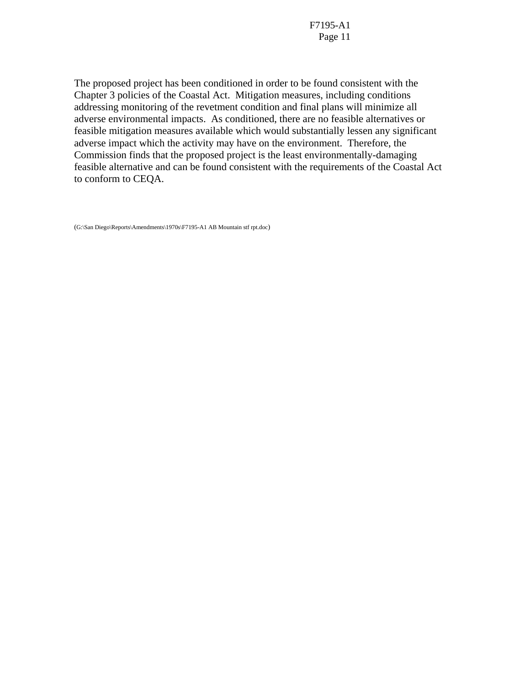The proposed project has been conditioned in order to be found consistent with the Chapter 3 policies of the Coastal Act. Mitigation measures, including conditions addressing monitoring of the revetment condition and final plans will minimize all adverse environmental impacts. As conditioned, there are no feasible alternatives or feasible mitigation measures available which would substantially lessen any significant adverse impact which the activity may have on the environment. Therefore, the Commission finds that the proposed project is the least environmentally-damaging feasible alternative and can be found consistent with the requirements of the Coastal Act to conform to CEQA.

(G:\San Diego\Reports\Amendments\1970s\F7195-A1 AB Mountain stf rpt.doc)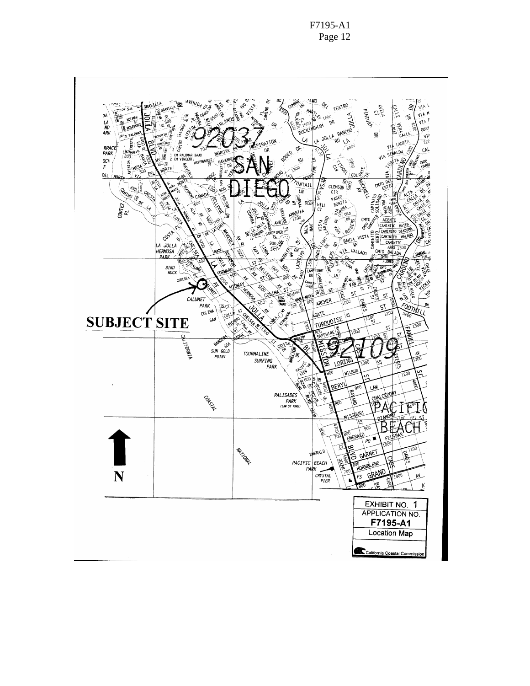